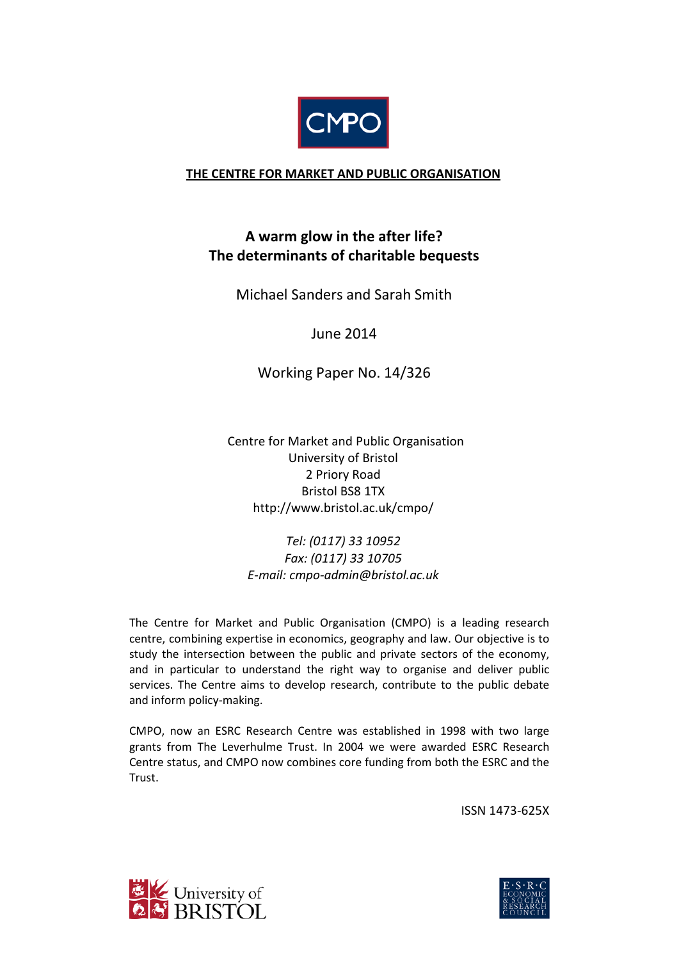

### **THE CENTRE FOR MARKET AND PUBLIC ORGANISATION**

# **A warm glow in the after life? The determinants of charitable bequests**

Michael Sanders and Sarah Smith

June 2014

Working Paper No. 14/326

 Centre for Market and Public Organisation University of Bristol 2 Priory Road Bristol BS8 1TX http://www.bristol.ac.uk/cmpo/

*Tel: (0117) 33 10952 Fax: (0117) 33 10705 E-mail: cmpo-admin@bristol.ac.uk*

The Centre for Market and Public Organisation (CMPO) is a leading research centre, combining expertise in economics, geography and law. Our objective is to study the intersection between the public and private sectors of the economy, and in particular to understand the right way to organise and deliver public services. The Centre aims to develop research, contribute to the public debate and inform policy-making.

CMPO, now an ESRC Research Centre was established in 1998 with two large grants from The Leverhulme Trust. In 2004 we were awarded ESRC Research Centre status, and CMPO now combines core funding from both the ESRC and the Trust.

ISSN 1473-625X



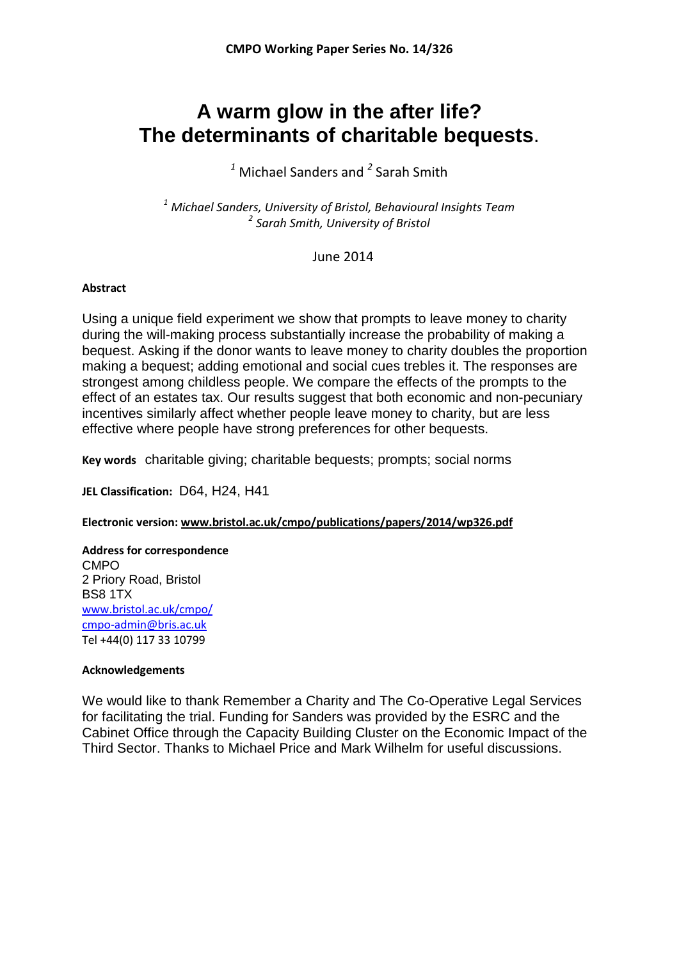# **A warm glow in the after life? The determinants of charitable bequests**.

*<sup>1</sup>* Michael Sanders and *<sup>2</sup>* Sarah Smith

*<sup>1</sup> Michael Sanders, University of Bristol, Behavioural Insights Team <sup>2</sup> Sarah Smith, University of Bristol*

June 2014

#### **Abstract**

Using a unique field experiment we show that prompts to leave money to charity during the will-making process substantially increase the probability of making a bequest. Asking if the donor wants to leave money to charity doubles the proportion making a bequest; adding emotional and social cues trebles it. The responses are strongest among childless people. We compare the effects of the prompts to the effect of an estates tax. Our results suggest that both economic and non-pecuniary incentives similarly affect whether people leave money to charity, but are less effective where people have strong preferences for other bequests.

**Key words** charitable giving; charitable bequests; prompts; social norms

**JEL Classification:** D64, H24, H41

**Electronic version: www.bristol.ac.uk/cmpo/publications/papers/2014/wp326.pdf**

**Address for correspondence** CMPO 2 Priory Road, Bristol BS8 1TX [www.bristol.ac.uk/cmpo/](http://www.bristol.ac.uk/cmpo/) cmpo-admin@bris.ac.uk Tel +44(0) 117 33 10799

#### **Acknowledgements**

We would like to thank Remember a Charity and The Co-Operative Legal Services for facilitating the trial. Funding for Sanders was provided by the ESRC and the Cabinet Office through the Capacity Building Cluster on the Economic Impact of the Third Sector. Thanks to Michael Price and Mark Wilhelm for useful discussions.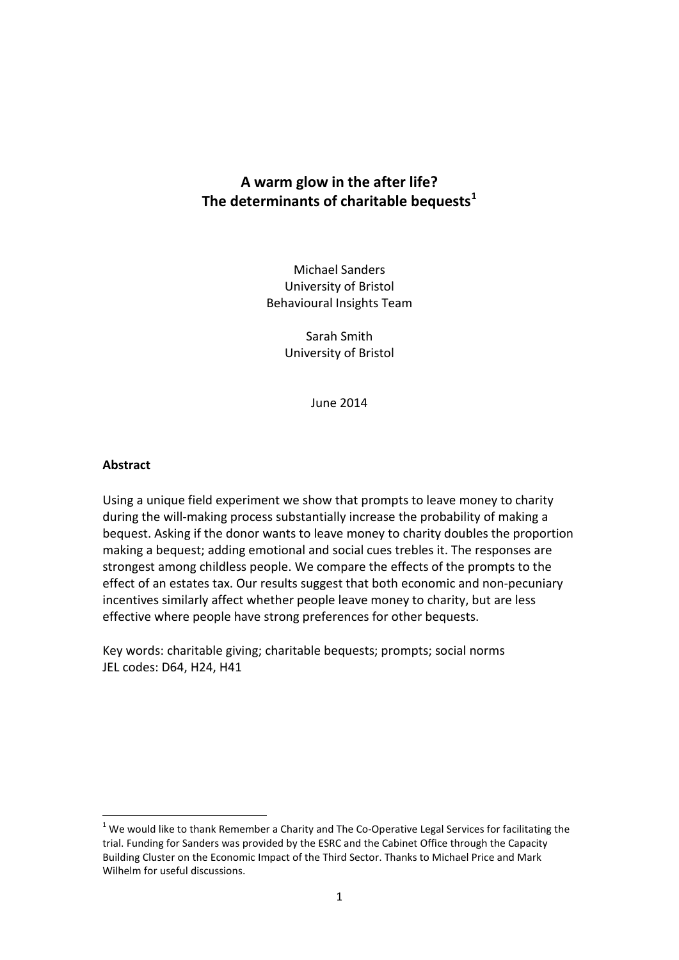# **A warm glow in the after life? The determinants of charitable bequests[1](#page-2-0)**

Michael Sanders University of Bristol Behavioural Insights Team

> Sarah Smith University of Bristol

> > June 2014

#### **Abstract**

-

Using a unique field experiment we show that prompts to leave money to charity during the will-making process substantially increase the probability of making a bequest. Asking if the donor wants to leave money to charity doubles the proportion making a bequest; adding emotional and social cues trebles it. The responses are strongest among childless people. We compare the effects of the prompts to the effect of an estates tax. Our results suggest that both economic and non-pecuniary incentives similarly affect whether people leave money to charity, but are less effective where people have strong preferences for other bequests.

Key words: charitable giving; charitable bequests; prompts; social norms JEL codes: D64, H24, H41

<span id="page-2-0"></span> $1$  We would like to thank Remember a Charity and The Co-Operative Legal Services for facilitating the trial. Funding for Sanders was provided by the ESRC and the Cabinet Office through the Capacity Building Cluster on the Economic Impact of the Third Sector. Thanks to Michael Price and Mark Wilhelm for useful discussions.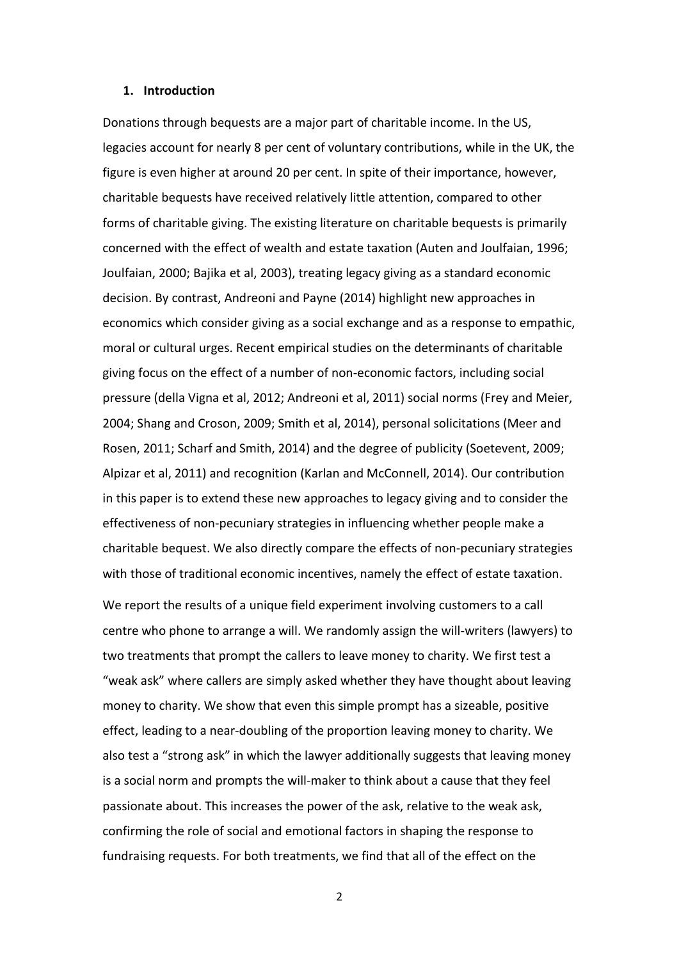#### **1. Introduction**

Donations through bequests are a major part of charitable income. In the US, legacies account for nearly 8 per cent of voluntary contributions, while in the UK, the figure is even higher at around 20 per cent. In spite of their importance, however, charitable bequests have received relatively little attention, compared to other forms of charitable giving. The existing literature on charitable bequests is primarily concerned with the effect of wealth and estate taxation (Auten and Joulfaian, 1996; Joulfaian, 2000; Bajika et al, 2003), treating legacy giving as a standard economic decision. By contrast, Andreoni and Payne (2014) highlight new approaches in economics which consider giving as a social exchange and as a response to empathic, moral or cultural urges. Recent empirical studies on the determinants of charitable giving focus on the effect of a number of non-economic factors, including social pressure (della Vigna et al, 2012; Andreoni et al, 2011) social norms (Frey and Meier, 2004; Shang and Croson, 2009; Smith et al, 2014), personal solicitations (Meer and Rosen, 2011; Scharf and Smith, 2014) and the degree of publicity (Soetevent, 2009; Alpizar et al, 2011) and recognition (Karlan and McConnell, 2014). Our contribution in this paper is to extend these new approaches to legacy giving and to consider the effectiveness of non-pecuniary strategies in influencing whether people make a charitable bequest. We also directly compare the effects of non-pecuniary strategies with those of traditional economic incentives, namely the effect of estate taxation.

We report the results of a unique field experiment involving customers to a call centre who phone to arrange a will. We randomly assign the will-writers (lawyers) to two treatments that prompt the callers to leave money to charity. We first test a "weak ask" where callers are simply asked whether they have thought about leaving money to charity. We show that even this simple prompt has a sizeable, positive effect, leading to a near-doubling of the proportion leaving money to charity. We also test a "strong ask" in which the lawyer additionally suggests that leaving money is a social norm and prompts the will-maker to think about a cause that they feel passionate about. This increases the power of the ask, relative to the weak ask, confirming the role of social and emotional factors in shaping the response to fundraising requests. For both treatments, we find that all of the effect on the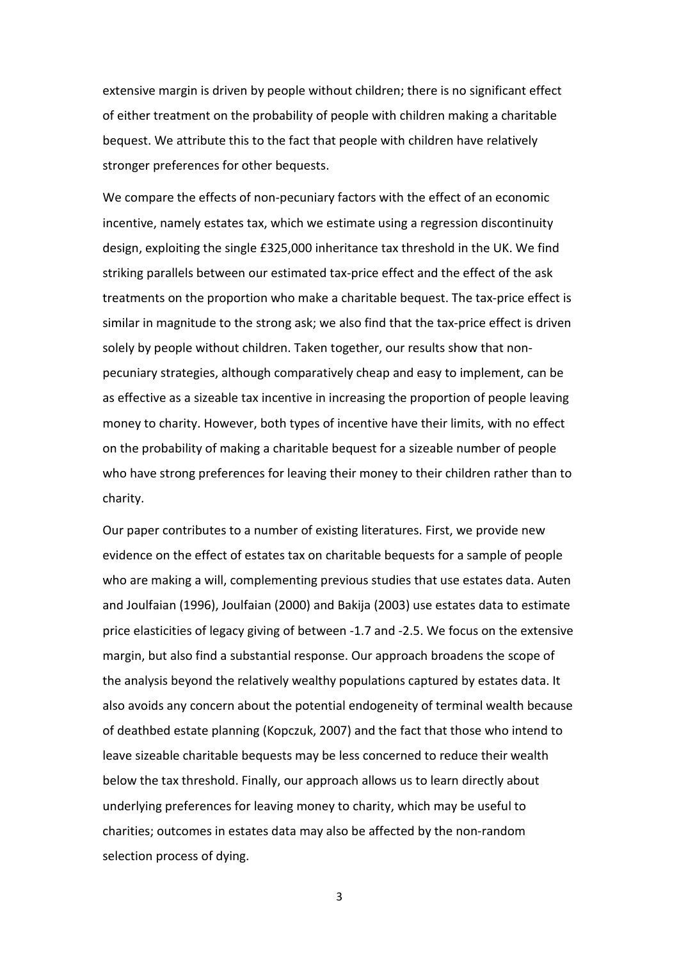extensive margin is driven by people without children; there is no significant effect of either treatment on the probability of people with children making a charitable bequest. We attribute this to the fact that people with children have relatively stronger preferences for other bequests.

We compare the effects of non-pecuniary factors with the effect of an economic incentive, namely estates tax, which we estimate using a regression discontinuity design, exploiting the single £325,000 inheritance tax threshold in the UK. We find striking parallels between our estimated tax-price effect and the effect of the ask treatments on the proportion who make a charitable bequest. The tax-price effect is similar in magnitude to the strong ask; we also find that the tax-price effect is driven solely by people without children. Taken together, our results show that nonpecuniary strategies, although comparatively cheap and easy to implement, can be as effective as a sizeable tax incentive in increasing the proportion of people leaving money to charity. However, both types of incentive have their limits, with no effect on the probability of making a charitable bequest for a sizeable number of people who have strong preferences for leaving their money to their children rather than to charity.

Our paper contributes to a number of existing literatures. First, we provide new evidence on the effect of estates tax on charitable bequests for a sample of people who are making a will, complementing previous studies that use estates data. Auten and Joulfaian (1996), Joulfaian (2000) and Bakija (2003) use estates data to estimate price elasticities of legacy giving of between -1.7 and -2.5. We focus on the extensive margin, but also find a substantial response. Our approach broadens the scope of the analysis beyond the relatively wealthy populations captured by estates data. It also avoids any concern about the potential endogeneity of terminal wealth because of deathbed estate planning (Kopczuk, 2007) and the fact that those who intend to leave sizeable charitable bequests may be less concerned to reduce their wealth below the tax threshold. Finally, our approach allows us to learn directly about underlying preferences for leaving money to charity, which may be useful to charities; outcomes in estates data may also be affected by the non-random selection process of dying.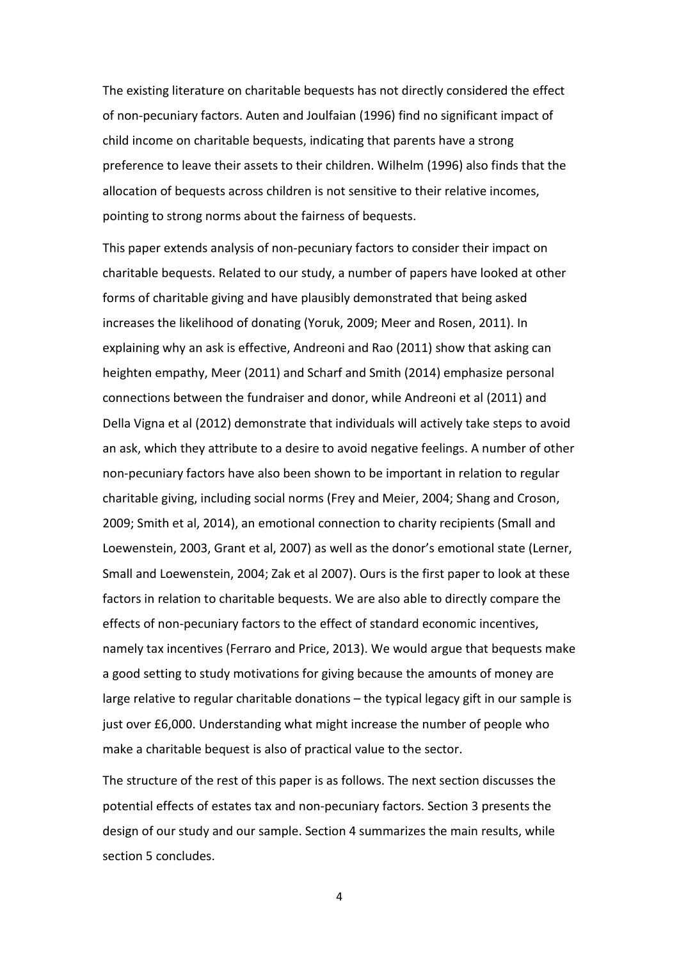The existing literature on charitable bequests has not directly considered the effect of non-pecuniary factors. Auten and Joulfaian (1996) find no significant impact of child income on charitable bequests, indicating that parents have a strong preference to leave their assets to their children. Wilhelm (1996) also finds that the allocation of bequests across children is not sensitive to their relative incomes, pointing to strong norms about the fairness of bequests.

This paper extends analysis of non-pecuniary factors to consider their impact on charitable bequests. Related to our study, a number of papers have looked at other forms of charitable giving and have plausibly demonstrated that being asked increases the likelihood of donating (Yoruk, 2009; Meer and Rosen, 2011). In explaining why an ask is effective, Andreoni and Rao (2011) show that asking can heighten empathy, Meer (2011) and Scharf and Smith (2014) emphasize personal connections between the fundraiser and donor, while Andreoni et al (2011) and Della Vigna et al (2012) demonstrate that individuals will actively take steps to avoid an ask, which they attribute to a desire to avoid negative feelings. A number of other non-pecuniary factors have also been shown to be important in relation to regular charitable giving, including social norms (Frey and Meier, 2004; Shang and Croson, 2009; Smith et al, 2014), an emotional connection to charity recipients (Small and Loewenstein, 2003, Grant et al, 2007) as well as the donor's emotional state (Lerner, Small and Loewenstein, 2004; Zak et al 2007). Ours is the first paper to look at these factors in relation to charitable bequests. We are also able to directly compare the effects of non-pecuniary factors to the effect of standard economic incentives, namely tax incentives (Ferraro and Price, 2013). We would argue that bequests make a good setting to study motivations for giving because the amounts of money are large relative to regular charitable donations – the typical legacy gift in our sample is just over £6,000. Understanding what might increase the number of people who make a charitable bequest is also of practical value to the sector.

The structure of the rest of this paper is as follows. The next section discusses the potential effects of estates tax and non-pecuniary factors. Section 3 presents the design of our study and our sample. Section 4 summarizes the main results, while section 5 concludes.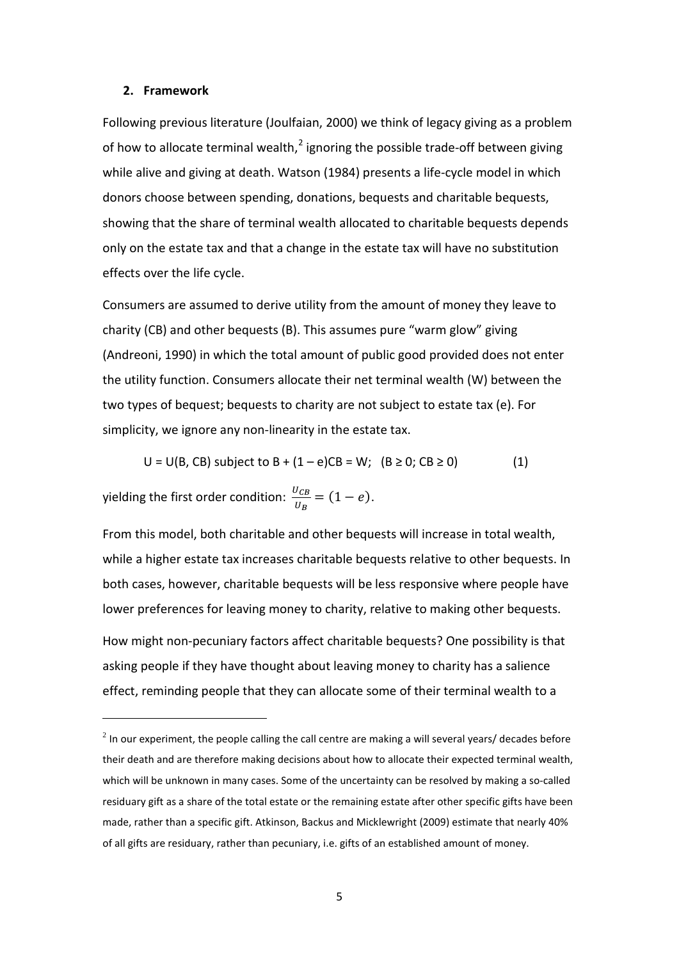#### **2. Framework**

Following previous literature (Joulfaian, 2000) we think of legacy giving as a problem of how to allocate terminal wealth, $^2$  $^2$  ignoring the possible trade-off between giving while alive and giving at death. Watson (1984) presents a life-cycle model in which donors choose between spending, donations, bequests and charitable bequests, showing that the share of terminal wealth allocated to charitable bequests depends only on the estate tax and that a change in the estate tax will have no substitution effects over the life cycle.

Consumers are assumed to derive utility from the amount of money they leave to charity (CB) and other bequests (B). This assumes pure "warm glow" giving (Andreoni, 1990) in which the total amount of public good provided does not enter the utility function. Consumers allocate their net terminal wealth (W) between the two types of bequest; bequests to charity are not subject to estate tax (e). For simplicity, we ignore any non-linearity in the estate tax.

$$
U = U(B, CB)
$$
 subject to  $B + (1 - e)CB = W$ ;  $(B \ge 0; CB \ge 0)$  (1)

yielding the first order condition:  $\frac{U_{CB}}{U_B} = (1 - e)$ .

<u>.</u>

From this model, both charitable and other bequests will increase in total wealth, while a higher estate tax increases charitable bequests relative to other bequests. In both cases, however, charitable bequests will be less responsive where people have lower preferences for leaving money to charity, relative to making other bequests. How might non-pecuniary factors affect charitable bequests? One possibility is that asking people if they have thought about leaving money to charity has a salience

effect, reminding people that they can allocate some of their terminal wealth to a

<span id="page-6-0"></span> $<sup>2</sup>$  In our experiment, the people calling the call centre are making a will several years/ decades before</sup> their death and are therefore making decisions about how to allocate their expected terminal wealth, which will be unknown in many cases. Some of the uncertainty can be resolved by making a so-called residuary gift as a share of the total estate or the remaining estate after other specific gifts have been made, rather than a specific gift. Atkinson, Backus and Micklewright (2009) estimate that nearly 40% of all gifts are residuary, rather than pecuniary, i.e. gifts of an established amount of money.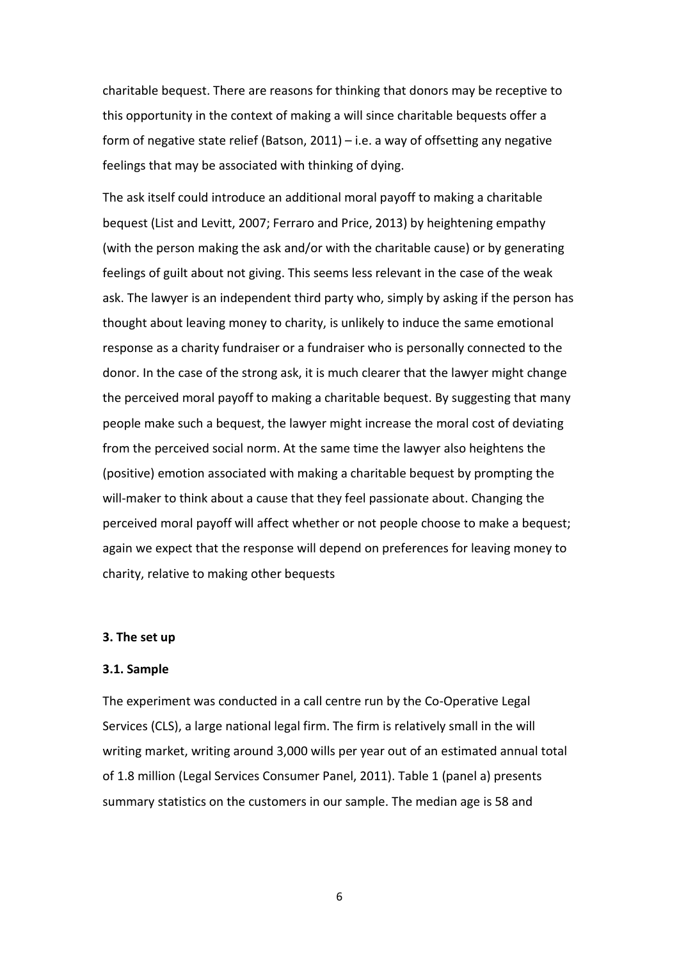charitable bequest. There are reasons for thinking that donors may be receptive to this opportunity in the context of making a will since charitable bequests offer a form of negative state relief (Batson, 2011) – i.e. a way of offsetting any negative feelings that may be associated with thinking of dying.

The ask itself could introduce an additional moral payoff to making a charitable bequest (List and Levitt, 2007; Ferraro and Price, 2013) by heightening empathy (with the person making the ask and/or with the charitable cause) or by generating feelings of guilt about not giving. This seems less relevant in the case of the weak ask. The lawyer is an independent third party who, simply by asking if the person has thought about leaving money to charity, is unlikely to induce the same emotional response as a charity fundraiser or a fundraiser who is personally connected to the donor. In the case of the strong ask, it is much clearer that the lawyer might change the perceived moral payoff to making a charitable bequest. By suggesting that many people make such a bequest, the lawyer might increase the moral cost of deviating from the perceived social norm. At the same time the lawyer also heightens the (positive) emotion associated with making a charitable bequest by prompting the will-maker to think about a cause that they feel passionate about. Changing the perceived moral payoff will affect whether or not people choose to make a bequest; again we expect that the response will depend on preferences for leaving money to charity, relative to making other bequests

#### **3. The set up**

#### **3.1. Sample**

The experiment was conducted in a call centre run by the Co-Operative Legal Services (CLS), a large national legal firm. The firm is relatively small in the will writing market, writing around 3,000 wills per year out of an estimated annual total of 1.8 million (Legal Services Consumer Panel, 2011). Table 1 (panel a) presents summary statistics on the customers in our sample. The median age is 58 and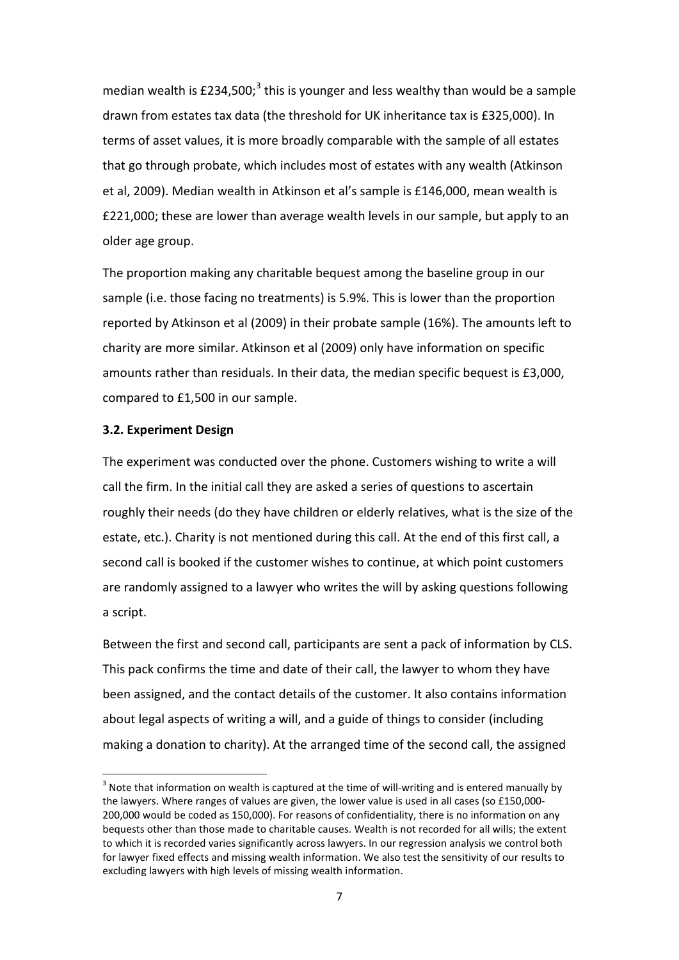median wealth is £2[3](#page-8-0)4,500;<sup>3</sup> this is younger and less wealthy than would be a sample drawn from estates tax data (the threshold for UK inheritance tax is £325,000). In terms of asset values, it is more broadly comparable with the sample of all estates that go through probate, which includes most of estates with any wealth (Atkinson et al, 2009). Median wealth in Atkinson et al's sample is £146,000, mean wealth is £221,000; these are lower than average wealth levels in our sample, but apply to an older age group.

The proportion making any charitable bequest among the baseline group in our sample (i.e. those facing no treatments) is 5.9%. This is lower than the proportion reported by Atkinson et al (2009) in their probate sample (16%). The amounts left to charity are more similar. Atkinson et al (2009) only have information on specific amounts rather than residuals. In their data, the median specific bequest is £3,000, compared to £1,500 in our sample.

#### **3.2. Experiment Design**

-

The experiment was conducted over the phone. Customers wishing to write a will call the firm. In the initial call they are asked a series of questions to ascertain roughly their needs (do they have children or elderly relatives, what is the size of the estate, etc.). Charity is not mentioned during this call. At the end of this first call, a second call is booked if the customer wishes to continue, at which point customers are randomly assigned to a lawyer who writes the will by asking questions following a script.

Between the first and second call, participants are sent a pack of information by CLS. This pack confirms the time and date of their call, the lawyer to whom they have been assigned, and the contact details of the customer. It also contains information about legal aspects of writing a will, and a guide of things to consider (including making a donation to charity). At the arranged time of the second call, the assigned

<span id="page-8-0"></span> $3$  Note that information on wealth is captured at the time of will-writing and is entered manually by the lawyers. Where ranges of values are given, the lower value is used in all cases (so £150,000- 200,000 would be coded as 150,000). For reasons of confidentiality, there is no information on any bequests other than those made to charitable causes. Wealth is not recorded for all wills; the extent to which it is recorded varies significantly across lawyers. In our regression analysis we control both for lawyer fixed effects and missing wealth information. We also test the sensitivity of our results to excluding lawyers with high levels of missing wealth information.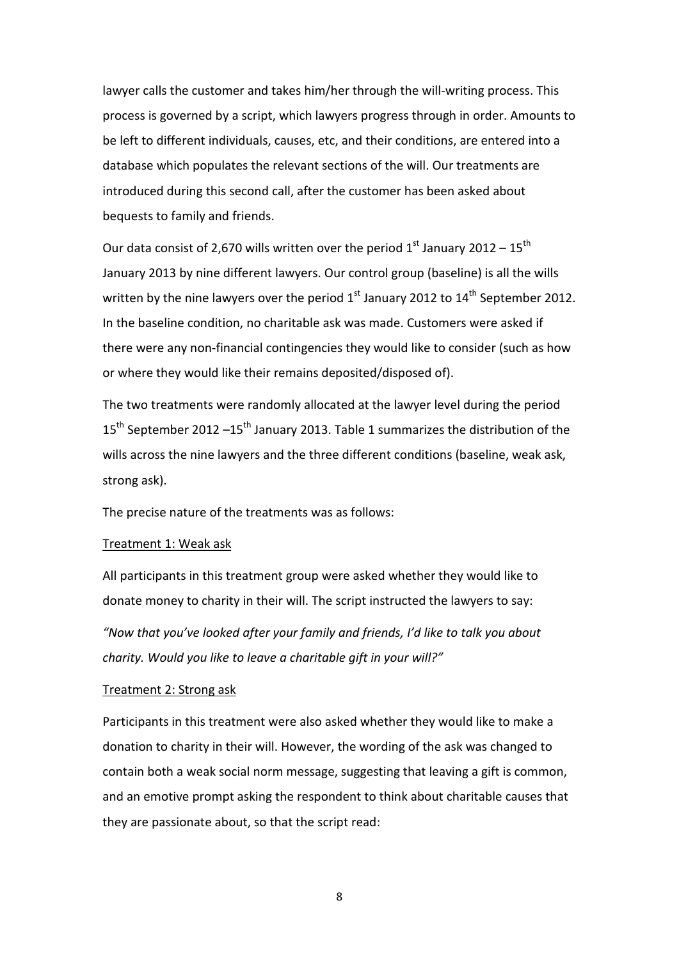lawyer calls the customer and takes him/her through the will-writing process. This process is governed by a script, which lawyers progress through in order. Amounts to be left to different individuals, causes, etc, and their conditions, are entered into a database which populates the relevant sections of the will. Our treatments are introduced during this second call, after the customer has been asked about bequests to family and friends.

Our data consist of 2,670 wills written over the period  $1<sup>st</sup>$  January 2012 – 15<sup>th</sup> January 2013 by nine different lawyers. Our control group (baseline) is all the wills written by the nine lawyers over the period  $1<sup>st</sup>$  January 2012 to  $14<sup>th</sup>$  September 2012. In the baseline condition, no charitable ask was made. Customers were asked if there were any non-financial contingencies they would like to consider (such as how or where they would like their remains deposited/disposed of).

The two treatments were randomly allocated at the lawyer level during the period 15<sup>th</sup> September 2012 –15<sup>th</sup> January 2013. Table 1 summarizes the distribution of the wills across the nine lawyers and the three different conditions (baseline, weak ask, strong ask).

The precise nature of the treatments was as follows:

#### Treatment 1: Weak ask

All participants in this treatment group were asked whether they would like to donate money to charity in their will. The script instructed the lawyers to say:

*"Now that you've looked after your family and friends, I'd like to talk you about charity. Would you like to leave a charitable gift in your will?"*

#### Treatment 2: Strong ask

Participants in this treatment were also asked whether they would like to make a donation to charity in their will. However, the wording of the ask was changed to contain both a weak social norm message, suggesting that leaving a gift is common, and an emotive prompt asking the respondent to think about charitable causes that they are passionate about, so that the script read: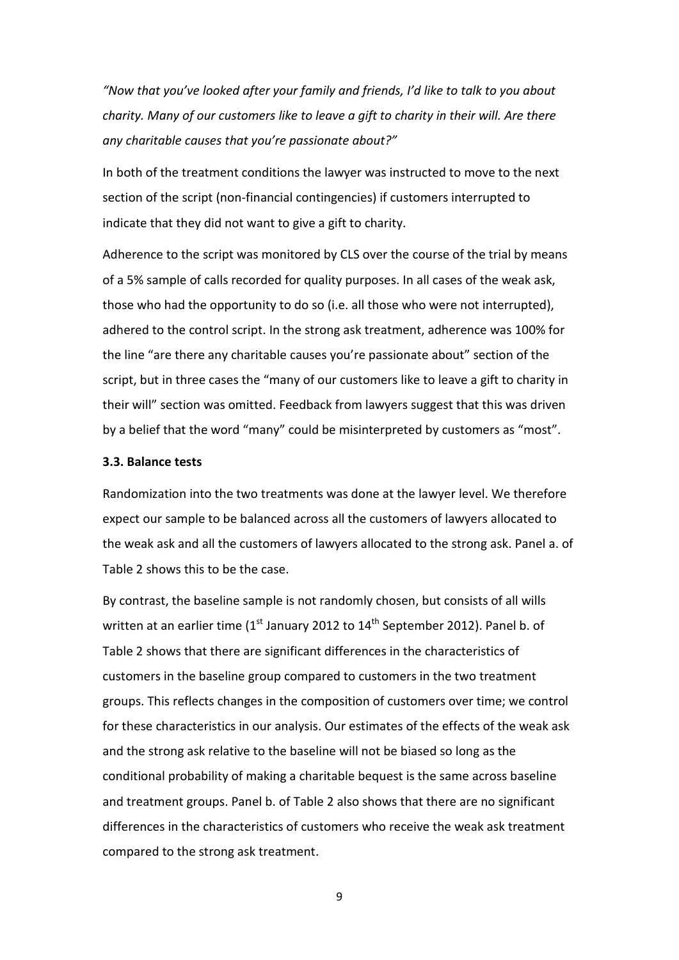*"Now that you've looked after your family and friends, I'd like to talk to you about charity. Many of our customers like to leave a gift to charity in their will. Are there any charitable causes that you're passionate about?"*

In both of the treatment conditions the lawyer was instructed to move to the next section of the script (non-financial contingencies) if customers interrupted to indicate that they did not want to give a gift to charity.

Adherence to the script was monitored by CLS over the course of the trial by means of a 5% sample of calls recorded for quality purposes. In all cases of the weak ask, those who had the opportunity to do so (i.e. all those who were not interrupted), adhered to the control script. In the strong ask treatment, adherence was 100% for the line "are there any charitable causes you're passionate about" section of the script, but in three cases the "many of our customers like to leave a gift to charity in their will" section was omitted. Feedback from lawyers suggest that this was driven by a belief that the word "many" could be misinterpreted by customers as "most".

#### **3.3. Balance tests**

Randomization into the two treatments was done at the lawyer level. We therefore expect our sample to be balanced across all the customers of lawyers allocated to the weak ask and all the customers of lawyers allocated to the strong ask. Panel a. of Table 2 shows this to be the case.

By contrast, the baseline sample is not randomly chosen, but consists of all wills written at an earlier time ( $1<sup>st</sup>$  January 2012 to  $14<sup>th</sup>$  September 2012). Panel b. of Table 2 shows that there are significant differences in the characteristics of customers in the baseline group compared to customers in the two treatment groups. This reflects changes in the composition of customers over time; we control for these characteristics in our analysis. Our estimates of the effects of the weak ask and the strong ask relative to the baseline will not be biased so long as the conditional probability of making a charitable bequest is the same across baseline and treatment groups. Panel b. of Table 2 also shows that there are no significant differences in the characteristics of customers who receive the weak ask treatment compared to the strong ask treatment.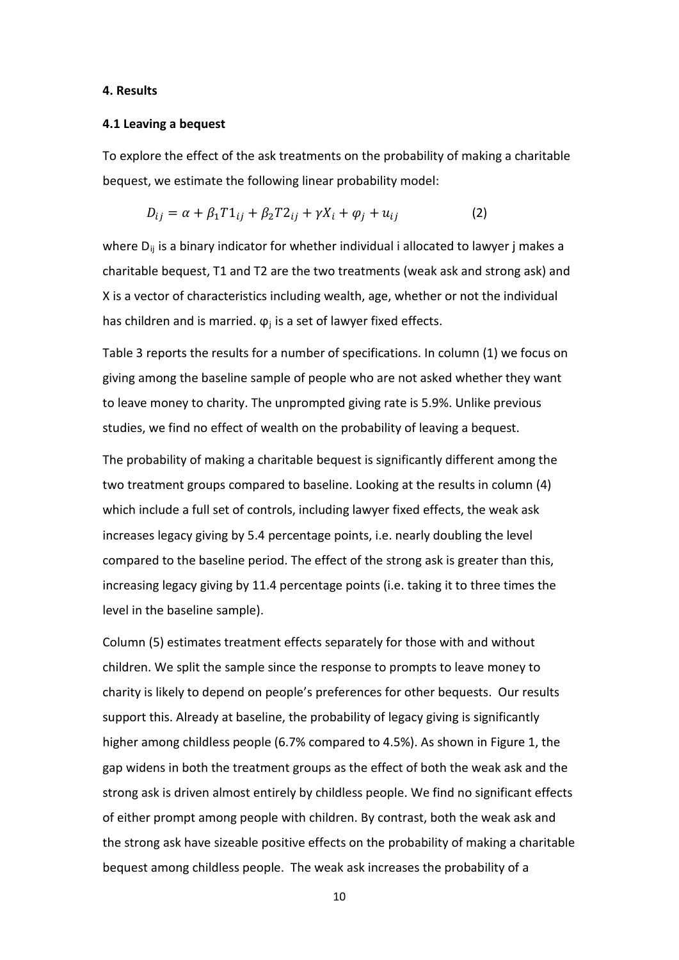#### **4. Results**

#### **4.1 Leaving a bequest**

To explore the effect of the ask treatments on the probability of making a charitable bequest, we estimate the following linear probability model:

$$
D_{ij} = \alpha + \beta_1 T 1_{ij} + \beta_2 T 2_{ij} + \gamma X_i + \varphi_j + u_{ij}
$$
 (2)

where  $D_{ii}$  is a binary indicator for whether individual i allocated to lawyer j makes a charitable bequest, T1 and T2 are the two treatments (weak ask and strong ask) and X is a vector of characteristics including wealth, age, whether or not the individual has children and is married.  $\varphi_i$  is a set of lawyer fixed effects.

Table 3 reports the results for a number of specifications. In column (1) we focus on giving among the baseline sample of people who are not asked whether they want to leave money to charity. The unprompted giving rate is 5.9%. Unlike previous studies, we find no effect of wealth on the probability of leaving a bequest.

The probability of making a charitable bequest is significantly different among the two treatment groups compared to baseline. Looking at the results in column (4) which include a full set of controls, including lawyer fixed effects, the weak ask increases legacy giving by 5.4 percentage points, i.e. nearly doubling the level compared to the baseline period. The effect of the strong ask is greater than this, increasing legacy giving by 11.4 percentage points (i.e. taking it to three times the level in the baseline sample).

Column (5) estimates treatment effects separately for those with and without children. We split the sample since the response to prompts to leave money to charity is likely to depend on people's preferences for other bequests. Our results support this. Already at baseline, the probability of legacy giving is significantly higher among childless people (6.7% compared to 4.5%). As shown in Figure 1, the gap widens in both the treatment groups as the effect of both the weak ask and the strong ask is driven almost entirely by childless people. We find no significant effects of either prompt among people with children. By contrast, both the weak ask and the strong ask have sizeable positive effects on the probability of making a charitable bequest among childless people. The weak ask increases the probability of a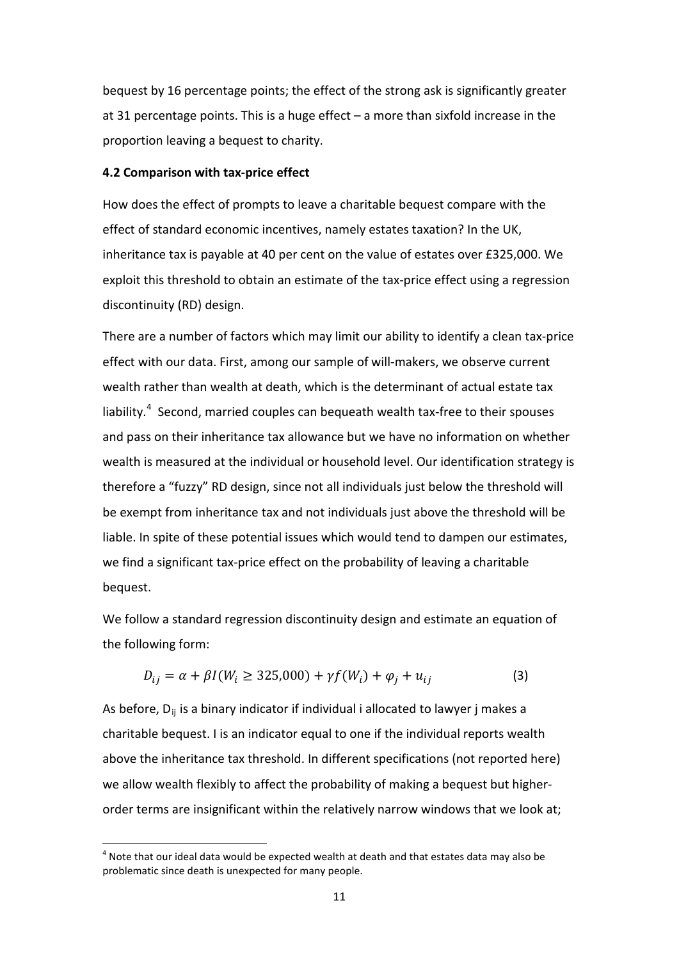bequest by 16 percentage points; the effect of the strong ask is significantly greater at 31 percentage points. This is a huge effect – a more than sixfold increase in the proportion leaving a bequest to charity.

#### **4.2 Comparison with tax-price effect**

How does the effect of prompts to leave a charitable bequest compare with the effect of standard economic incentives, namely estates taxation? In the UK, inheritance tax is payable at 40 per cent on the value of estates over £325,000. We exploit this threshold to obtain an estimate of the tax-price effect using a regression discontinuity (RD) design.

There are a number of factors which may limit our ability to identify a clean tax-price effect with our data. First, among our sample of will-makers, we observe current wealth rather than wealth at death, which is the determinant of actual estate tax liability. $4$  Second, married couples can bequeath wealth tax-free to their spouses and pass on their inheritance tax allowance but we have no information on whether wealth is measured at the individual or household level. Our identification strategy is therefore a "fuzzy" RD design, since not all individuals just below the threshold will be exempt from inheritance tax and not individuals just above the threshold will be liable. In spite of these potential issues which would tend to dampen our estimates, we find a significant tax-price effect on the probability of leaving a charitable bequest.

We follow a standard regression discontinuity design and estimate an equation of the following form:

$$
D_{ij} = \alpha + \beta I(W_i \ge 325,000) + \gamma f(W_i) + \varphi_j + u_{ij}
$$
 (3)

As before,  $D_{ii}$  is a binary indicator if individual i allocated to lawyer j makes a charitable bequest. I is an indicator equal to one if the individual reports wealth above the inheritance tax threshold. In different specifications (not reported here) we allow wealth flexibly to affect the probability of making a bequest but higherorder terms are insignificant within the relatively narrow windows that we look at;

-

<span id="page-12-0"></span> $4$  Note that our ideal data would be expected wealth at death and that estates data may also be problematic since death is unexpected for many people.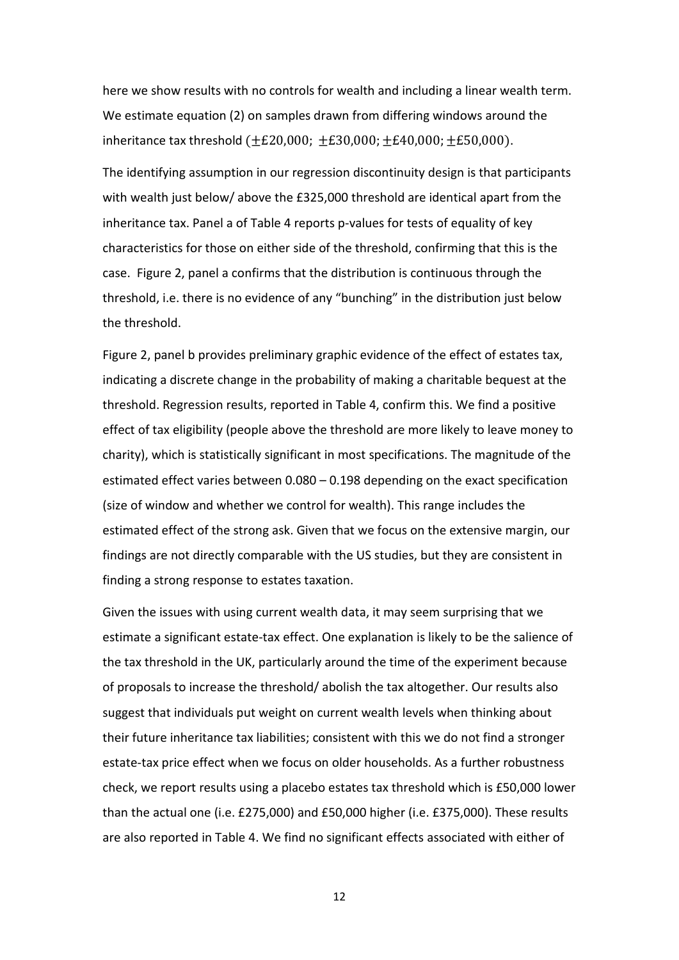here we show results with no controls for wealth and including a linear wealth term. We estimate equation (2) on samples drawn from differing windows around the inheritance tax threshold  $(\pm \text{\pounds}20,000; \pm \text{\pounds}30,000; \pm \text{\pounds}40,000; \pm \text{\pounds}50,000)$ .

The identifying assumption in our regression discontinuity design is that participants with wealth just below/ above the £325,000 threshold are identical apart from the inheritance tax. Panel a of Table 4 reports p-values for tests of equality of key characteristics for those on either side of the threshold, confirming that this is the case. Figure 2, panel a confirms that the distribution is continuous through the threshold, i.e. there is no evidence of any "bunching" in the distribution just below the threshold.

Figure 2, panel b provides preliminary graphic evidence of the effect of estates tax, indicating a discrete change in the probability of making a charitable bequest at the threshold. Regression results, reported in Table 4, confirm this. We find a positive effect of tax eligibility (people above the threshold are more likely to leave money to charity), which is statistically significant in most specifications. The magnitude of the estimated effect varies between 0.080 – 0.198 depending on the exact specification (size of window and whether we control for wealth). This range includes the estimated effect of the strong ask. Given that we focus on the extensive margin, our findings are not directly comparable with the US studies, but they are consistent in finding a strong response to estates taxation.

Given the issues with using current wealth data, it may seem surprising that we estimate a significant estate-tax effect. One explanation is likely to be the salience of the tax threshold in the UK, particularly around the time of the experiment because of proposals to increase the threshold/ abolish the tax altogether. Our results also suggest that individuals put weight on current wealth levels when thinking about their future inheritance tax liabilities; consistent with this we do not find a stronger estate-tax price effect when we focus on older households. As a further robustness check, we report results using a placebo estates tax threshold which is £50,000 lower than the actual one (i.e. £275,000) and £50,000 higher (i.e. £375,000). These results are also reported in Table 4. We find no significant effects associated with either of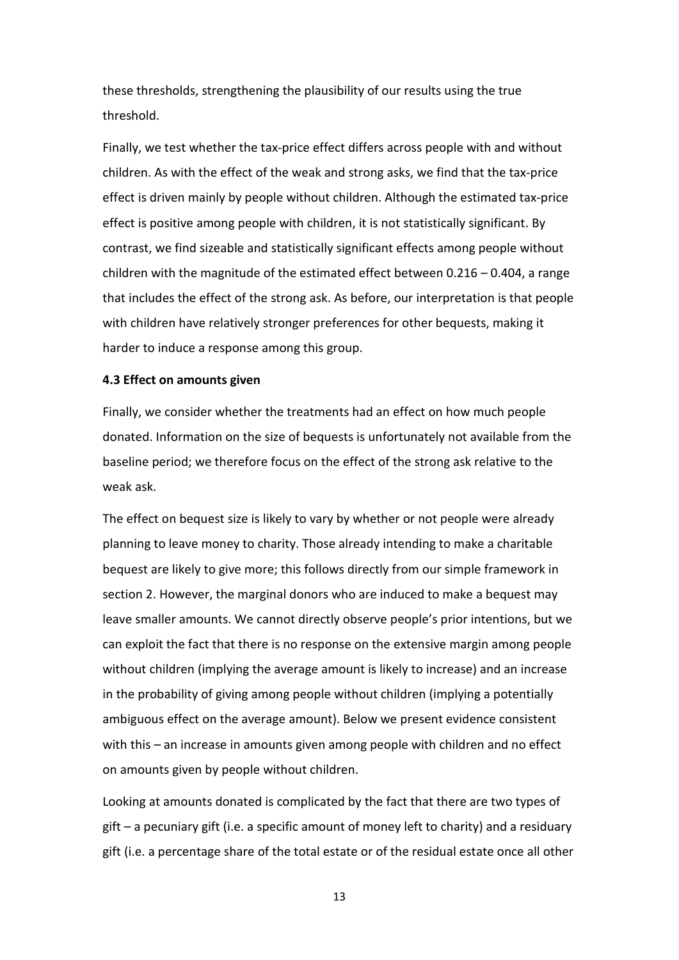these thresholds, strengthening the plausibility of our results using the true threshold.

Finally, we test whether the tax-price effect differs across people with and without children. As with the effect of the weak and strong asks, we find that the tax-price effect is driven mainly by people without children. Although the estimated tax-price effect is positive among people with children, it is not statistically significant. By contrast, we find sizeable and statistically significant effects among people without children with the magnitude of the estimated effect between  $0.216 - 0.404$ , a range that includes the effect of the strong ask. As before, our interpretation is that people with children have relatively stronger preferences for other bequests, making it harder to induce a response among this group.

#### **4.3 Effect on amounts given**

Finally, we consider whether the treatments had an effect on how much people donated. Information on the size of bequests is unfortunately not available from the baseline period; we therefore focus on the effect of the strong ask relative to the weak ask.

The effect on bequest size is likely to vary by whether or not people were already planning to leave money to charity. Those already intending to make a charitable bequest are likely to give more; this follows directly from our simple framework in section 2. However, the marginal donors who are induced to make a bequest may leave smaller amounts. We cannot directly observe people's prior intentions, but we can exploit the fact that there is no response on the extensive margin among people without children (implying the average amount is likely to increase) and an increase in the probability of giving among people without children (implying a potentially ambiguous effect on the average amount). Below we present evidence consistent with this – an increase in amounts given among people with children and no effect on amounts given by people without children.

Looking at amounts donated is complicated by the fact that there are two types of gift – a pecuniary gift (i.e. a specific amount of money left to charity) and a residuary gift (i.e. a percentage share of the total estate or of the residual estate once all other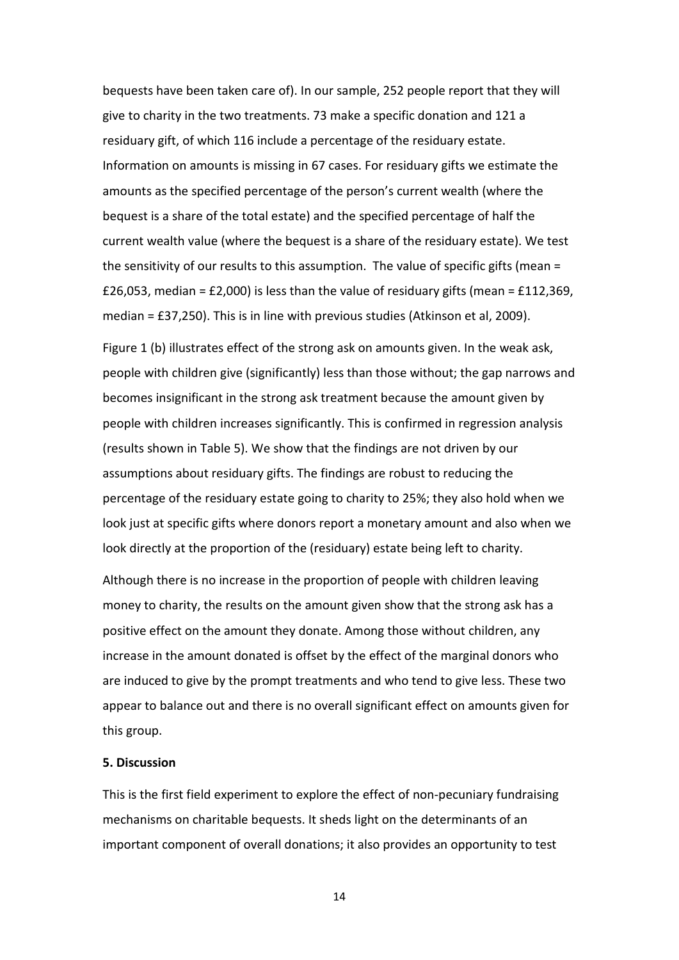bequests have been taken care of). In our sample, 252 people report that they will give to charity in the two treatments. 73 make a specific donation and 121 a residuary gift, of which 116 include a percentage of the residuary estate. Information on amounts is missing in 67 cases. For residuary gifts we estimate the amounts as the specified percentage of the person's current wealth (where the bequest is a share of the total estate) and the specified percentage of half the current wealth value (where the bequest is a share of the residuary estate). We test the sensitivity of our results to this assumption. The value of specific gifts (mean = £26,053, median = £2,000) is less than the value of residuary gifts (mean = £112,369, median = £37,250). This is in line with previous studies (Atkinson et al, 2009).

Figure 1 (b) illustrates effect of the strong ask on amounts given. In the weak ask, people with children give (significantly) less than those without; the gap narrows and becomes insignificant in the strong ask treatment because the amount given by people with children increases significantly. This is confirmed in regression analysis (results shown in Table 5). We show that the findings are not driven by our assumptions about residuary gifts. The findings are robust to reducing the percentage of the residuary estate going to charity to 25%; they also hold when we look just at specific gifts where donors report a monetary amount and also when we look directly at the proportion of the (residuary) estate being left to charity.

Although there is no increase in the proportion of people with children leaving money to charity, the results on the amount given show that the strong ask has a positive effect on the amount they donate. Among those without children, any increase in the amount donated is offset by the effect of the marginal donors who are induced to give by the prompt treatments and who tend to give less. These two appear to balance out and there is no overall significant effect on amounts given for this group.

#### **5. Discussion**

This is the first field experiment to explore the effect of non-pecuniary fundraising mechanisms on charitable bequests. It sheds light on the determinants of an important component of overall donations; it also provides an opportunity to test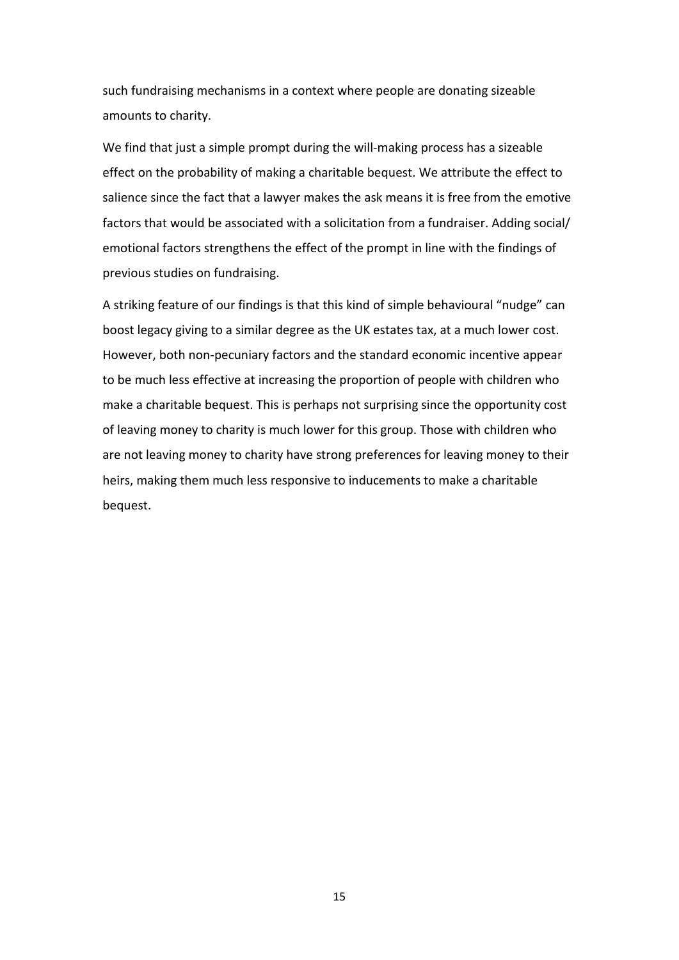such fundraising mechanisms in a context where people are donating sizeable amounts to charity.

We find that just a simple prompt during the will-making process has a sizeable effect on the probability of making a charitable bequest. We attribute the effect to salience since the fact that a lawyer makes the ask means it is free from the emotive factors that would be associated with a solicitation from a fundraiser. Adding social/ emotional factors strengthens the effect of the prompt in line with the findings of previous studies on fundraising.

A striking feature of our findings is that this kind of simple behavioural "nudge" can boost legacy giving to a similar degree as the UK estates tax, at a much lower cost. However, both non-pecuniary factors and the standard economic incentive appear to be much less effective at increasing the proportion of people with children who make a charitable bequest. This is perhaps not surprising since the opportunity cost of leaving money to charity is much lower for this group. Those with children who are not leaving money to charity have strong preferences for leaving money to their heirs, making them much less responsive to inducements to make a charitable bequest.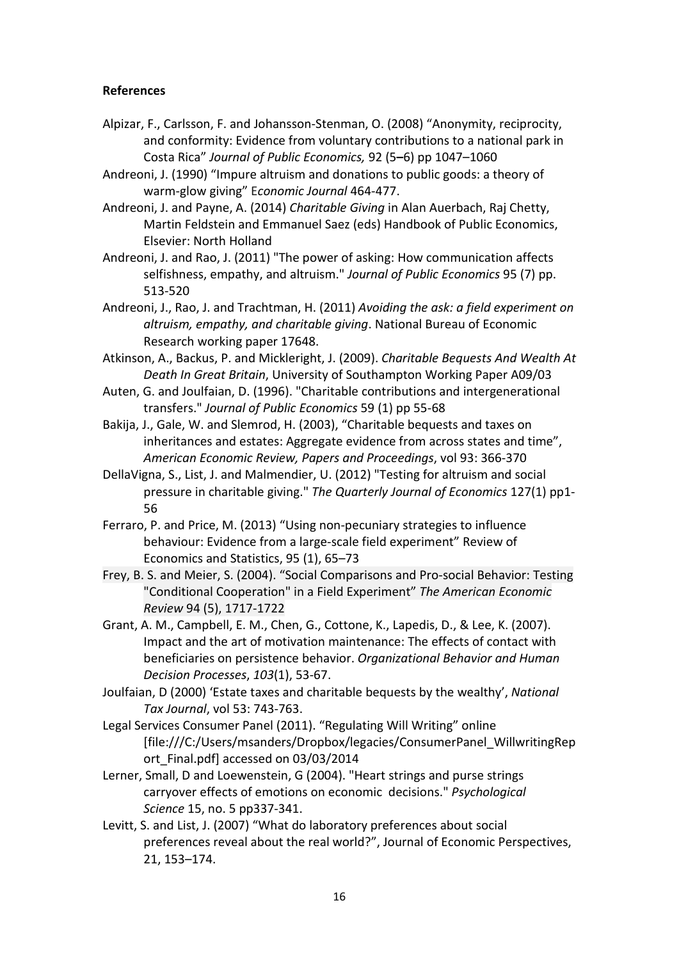### **References**

- Alpizar, F., Carlsson, F. and Johansson-Stenman, O. (2008) "Anonymity, reciprocity, and conformity: Evidence from voluntary contributions to a national park in Costa Rica" *Journal of Public Economics,* 92 (5**–**6) pp 1047–1060
- Andreoni, J. (1990) "Impure altruism and donations to public goods: a theory of warm-glow giving" E*conomic Journal* 464-477.
- Andreoni, J. and Payne, A. (2014) *Charitable Giving* in Alan Auerbach, Raj Chetty, Martin Feldstein and Emmanuel Saez (eds) Handbook of Public Economics, Elsevier: North Holland
- Andreoni, J. and Rao, J. (2011) "The power of asking: How communication affects selfishness, empathy, and altruism." *Journal of Public Economics* 95 (7) pp. 513-520
- Andreoni, J., Rao, J. and Trachtman, H. (2011) *Avoiding the ask: a field experiment on altruism, empathy, and charitable giving*. National Bureau of Economic Research working paper 17648.
- Atkinson, A., Backus, P. and Mickleright, J. (2009). *Charitable Bequests And Wealth At Death In Great Britain*, University of Southampton Working Paper A09/03
- Auten, G. and Joulfaian, D. (1996). "Charitable contributions and intergenerational transfers." *Journal of Public Economics* 59 (1) pp 55-68
- Bakija, J., Gale, W. and Slemrod, H. (2003), "Charitable bequests and taxes on inheritances and estates: Aggregate evidence from across states and time", *American Economic Review, Papers and Proceedings*, vol 93: 366-370
- DellaVigna, S., List, J. and Malmendier, U. (2012) "Testing for altruism and social pressure in charitable giving." *The Quarterly Journal of Economics* 127(1) pp1- 56
- Ferraro, P. and Price, M. (2013) "Using non-pecuniary strategies to influence behaviour: Evidence from a large-scale field experiment" Review of Economics and Statistics, 95 (1), 65–73
- Frey, B. S. and Meier, S. (2004). "Social Comparisons and Pro-social Behavior: Testing "Conditional Cooperation" in a Field Experiment" *The American Economic Review* 94 (5), 1717-1722
- Grant, A. M., Campbell, E. M., Chen, G., Cottone, K., Lapedis, D., & Lee, K. (2007). Impact and the art of motivation maintenance: The effects of contact with beneficiaries on persistence behavior. *Organizational Behavior and Human Decision Processes*, *103*(1), 53-67.
- Joulfaian, D (2000) 'Estate taxes and charitable bequests by the wealthy', *National Tax Journal*, vol 53: 743-763.
- Legal Services Consumer Panel (2011). "Regulating Will Writing" online [file:///C:/Users/msanders/Dropbox/legacies/ConsumerPanel\_WillwritingRep ort Final.pdf] accessed on 03/03/2014
- Lerner, Small, D and Loewenstein, G (2004). "Heart strings and purse strings carryover effects of emotions on economic decisions." *Psychological Science* 15, no. 5 pp337-341.
- Levitt, S. and List, J. (2007) "What do laboratory preferences about social preferences reveal about the real world?", Journal of Economic Perspectives, 21, 153–174.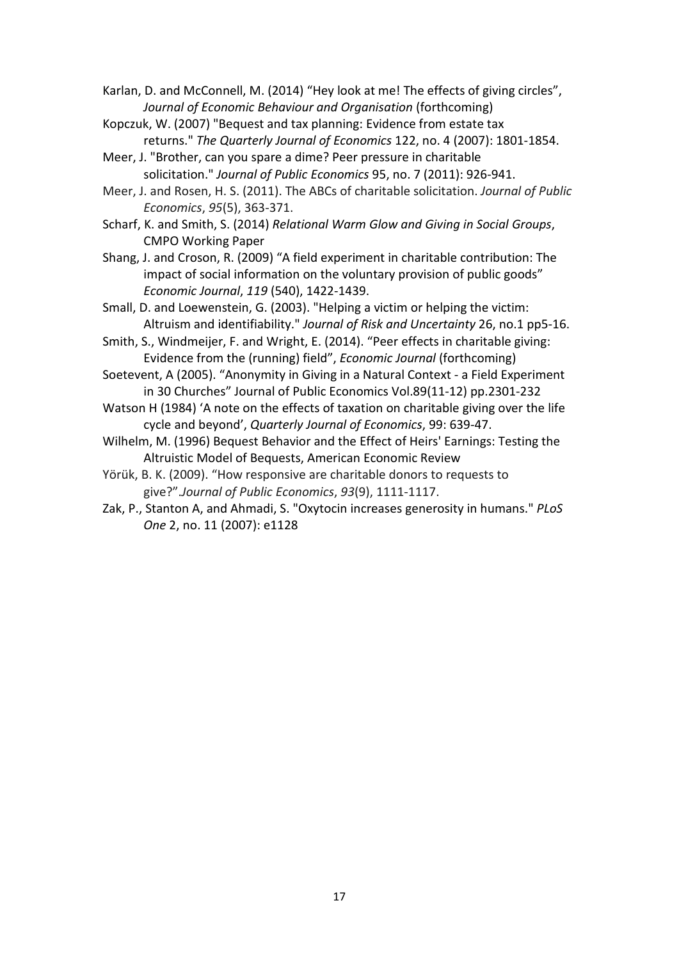Karlan, D. and McConnell, M. (2014) "Hey look at me! The effects of giving circles", *Journal of Economic Behaviour and Organisation* (forthcoming)

- Kopczuk, W. (2007) "Bequest and tax planning: Evidence from estate tax returns." *The Quarterly Journal of Economics* 122, no. 4 (2007): 1801-1854.
- Meer, J. "Brother, can you spare a dime? Peer pressure in charitable solicitation." *Journal of Public Economics* 95, no. 7 (2011): 926-941.
- Meer, J. and Rosen, H. S. (2011). The ABCs of charitable solicitation. *Journal of Public Economics*, *95*(5), 363-371.
- Scharf, K. and Smith, S. (2014) *Relational Warm Glow and Giving in Social Groups*, CMPO Working Paper
- Shang, J. and Croson, R. (2009) "A field experiment in charitable contribution: The impact of social information on the voluntary provision of public goods" *Economic Journal*, *119* (540), 1422-1439.
- Small, D. and Loewenstein, G. (2003). "Helping a victim or helping the victim: Altruism and identifiability." *Journal of Risk and Uncertainty* 26, no.1 pp5-16.
- Smith, S., Windmeijer, F. and Wright, E. (2014). "Peer effects in charitable giving: Evidence from the (running) field", *Economic Journal* (forthcoming)
- Soetevent, A (2005). "Anonymity in Giving in a Natural Context a Field Experiment in 30 Churches" Journal of Public Economics Vol.89(11-12) pp.2301-232
- Watson H (1984) 'A note on the effects of taxation on charitable giving over the life cycle and beyond', *Quarterly Journal of Economics*, 99: 639-47.
- Wilhelm, M. (1996) Bequest Behavior and the Effect of Heirs' Earnings: Testing the Altruistic Model of Bequests, American Economic Review
- Yörük, B. K. (2009). "How responsive are charitable donors to requests to give?".*Journal of Public Economics*, *93*(9), 1111-1117.
- Zak, P., Stanton A, and Ahmadi, S. "Oxytocin increases generosity in humans." *PLoS One* 2, no. 11 (2007): e1128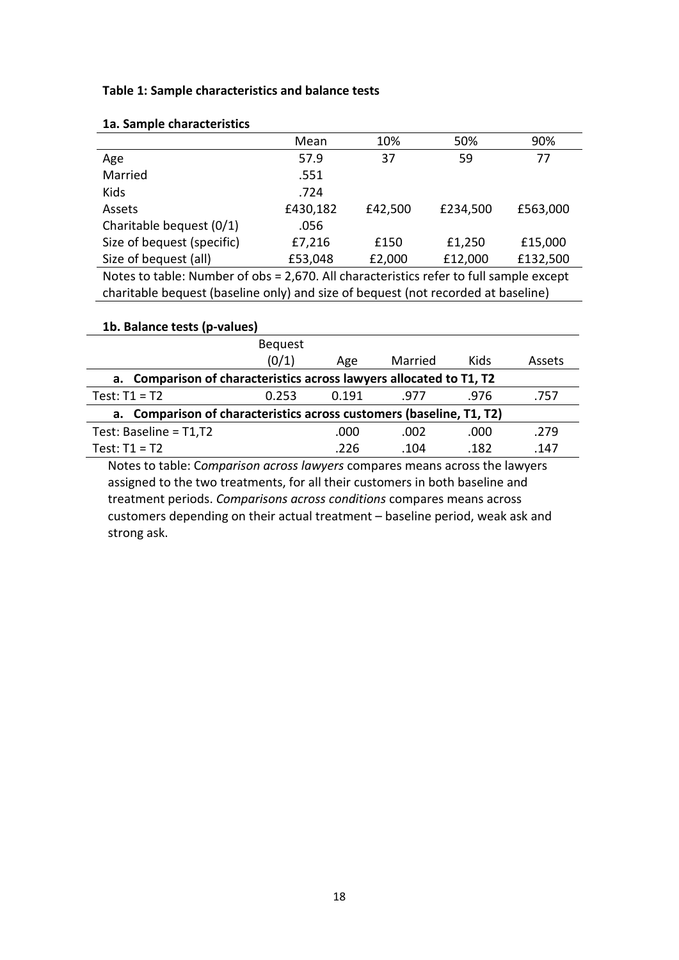#### **Table 1: Sample characteristics and balance tests**

|                                | Mean     | 10%     | 50%                                                      | 90%      |
|--------------------------------|----------|---------|----------------------------------------------------------|----------|
| Age                            | 57.9     | 37      | 59                                                       | 77       |
| Married                        | .551     |         |                                                          |          |
| Kids                           | .724     |         |                                                          |          |
| Assets                         | £430,182 | £42,500 | £234,500                                                 | £563,000 |
| Charitable bequest (0/1)       | .056     |         |                                                          |          |
| Size of bequest (specific)     | £7,216   | £150    | £1,250                                                   | £15,000  |
| Size of bequest (all)          | £53,048  | £2,000  | £12,000                                                  | £132,500 |
| Notes to table. Numahan af aba |          |         | 2.570 Allehausetaristise refer to full complete property |          |

#### **1a. Sample characteristics**

Notes to table: Number of obs = 2,670. All characteristics refer to full sample except charitable bequest (baseline only) and size of bequest (not recorded at baseline)

| 1b. Balance tests (p-values)                                            |                |       |         |      |        |  |  |  |  |  |
|-------------------------------------------------------------------------|----------------|-------|---------|------|--------|--|--|--|--|--|
|                                                                         | <b>Bequest</b> |       |         |      |        |  |  |  |  |  |
|                                                                         | (0/1)          | Age   | Married | Kids | Assets |  |  |  |  |  |
| Comparison of characteristics across lawyers allocated to T1, T2<br>а.  |                |       |         |      |        |  |  |  |  |  |
| Test: $T1 = T2$                                                         | 0.253          | 0.191 | .977    | .976 | .757   |  |  |  |  |  |
| Comparison of characteristics across customers (baseline, T1, T2)<br>а. |                |       |         |      |        |  |  |  |  |  |
| Test: Baseline = T1,T2                                                  |                | .000  | .002    | .000 | .279   |  |  |  |  |  |
| Test: $T1 = T2$                                                         |                | .226  | .104    | .182 | .147   |  |  |  |  |  |
|                                                                         |                |       |         |      |        |  |  |  |  |  |

Notes to table: C*omparison across lawyers* compares means across the lawyers assigned to the two treatments, for all their customers in both baseline and treatment periods. *Comparisons across conditions* compares means across customers depending on their actual treatment – baseline period, weak ask and strong ask.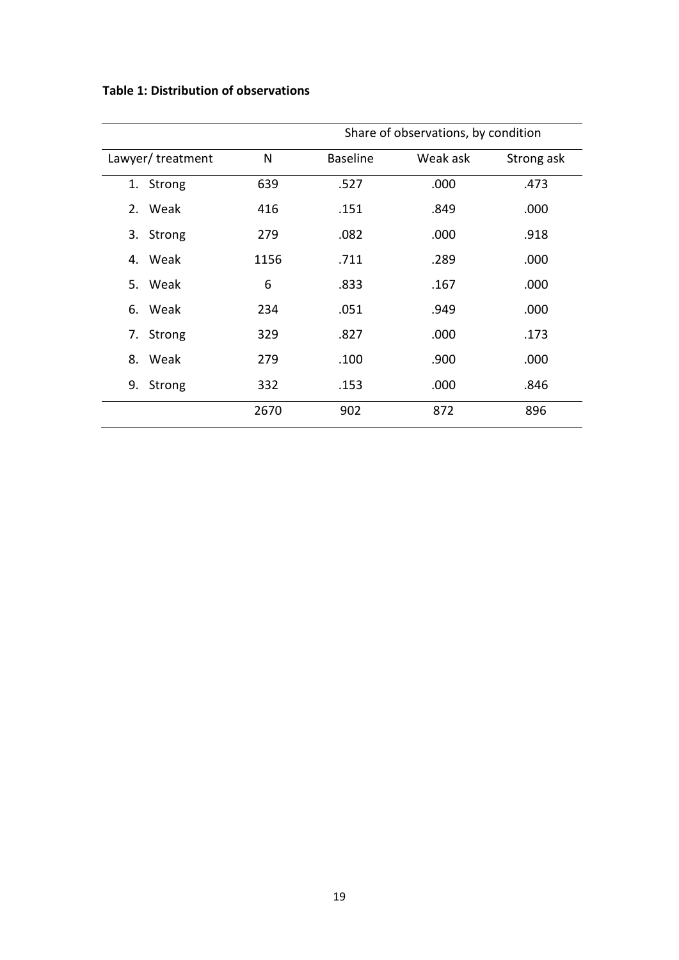**Table 1: Distribution of observations**

|                     |      | Share of observations, by condition |          |            |  |  |  |  |
|---------------------|------|-------------------------------------|----------|------------|--|--|--|--|
| Lawyer/treatment    | N    | <b>Baseline</b>                     | Weak ask | Strong ask |  |  |  |  |
| 1. Strong           | 639  | .527                                | .000     | .473       |  |  |  |  |
| 2. Weak             | 416  | .151                                | .849     | .000       |  |  |  |  |
| Strong<br>3.        | 279  | .082                                | .000     | .918       |  |  |  |  |
| 4. Weak             | 1156 | .711                                | .289     | .000       |  |  |  |  |
| 5. Weak             | 6    | .833                                | .167     | .000       |  |  |  |  |
| Weak<br>6.          | 234  | .051                                | .949     | .000       |  |  |  |  |
| <b>Strong</b><br>7. | 329  | .827                                | .000     | .173       |  |  |  |  |
| 8. Weak             | 279  | .100                                | .900     | .000       |  |  |  |  |
| Strong<br>9.        | 332  | .153                                | .000     | .846       |  |  |  |  |
|                     | 2670 | 902                                 | 872      | 896        |  |  |  |  |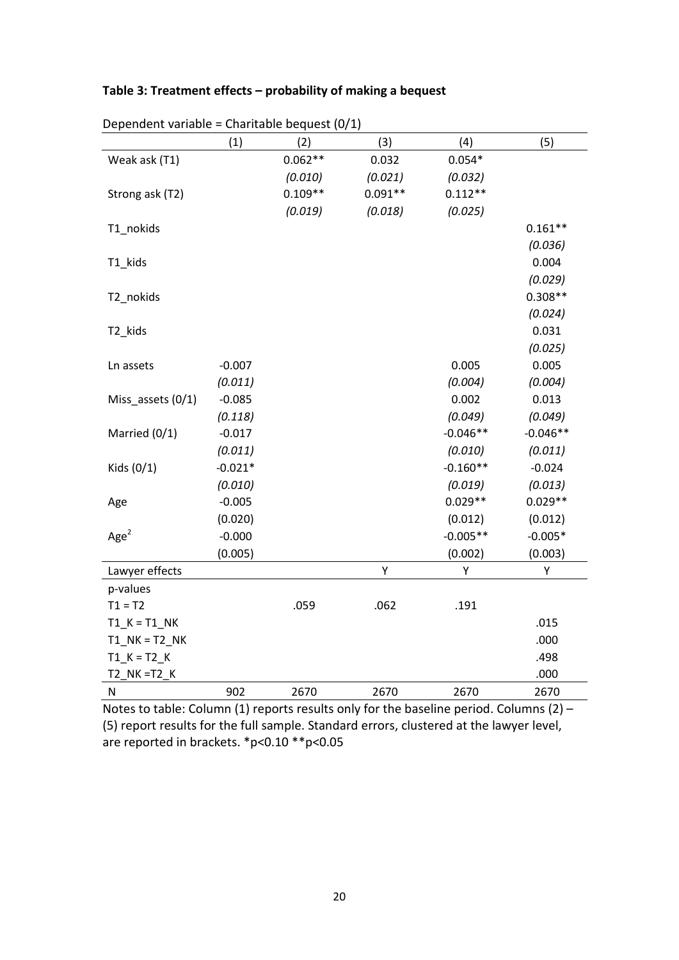## **Table 3: Treatment effects – probability of making a bequest**

|                   | (1)       | (2)       | (3)       | (4)        | (5)        |
|-------------------|-----------|-----------|-----------|------------|------------|
| Weak ask (T1)     |           | $0.062**$ | 0.032     | $0.054*$   |            |
|                   |           | (0.010)   | (0.021)   | (0.032)    |            |
| Strong ask (T2)   |           | $0.109**$ | $0.091**$ | $0.112**$  |            |
|                   |           | (0.019)   | (0.018)   | (0.025)    |            |
| T1_nokids         |           |           |           |            | $0.161**$  |
|                   |           |           |           |            | (0.036)    |
| T1_kids           |           |           |           |            | 0.004      |
|                   |           |           |           |            | (0.029)    |
| T2_nokids         |           |           |           |            | $0.308**$  |
|                   |           |           |           |            | (0.024)    |
| T2_kids           |           |           |           |            | 0.031      |
|                   |           |           |           |            | (0.025)    |
| Ln assets         | $-0.007$  |           |           | 0.005      | 0.005      |
|                   | (0.011)   |           |           | (0.004)    | (0.004)    |
| Miss_assets (0/1) | $-0.085$  |           |           | 0.002      | 0.013      |
|                   | (0.118)   |           |           | (0.049)    | (0.049)    |
| Married (0/1)     | $-0.017$  |           |           | $-0.046**$ | $-0.046**$ |
|                   | (0.011)   |           |           | (0.010)    | (0.011)    |
| Kids (0/1)        | $-0.021*$ |           |           | $-0.160**$ | $-0.024$   |
|                   | (0.010)   |           |           | (0.019)    | (0.013)    |
| Age               | $-0.005$  |           |           | $0.029**$  | $0.029**$  |
|                   | (0.020)   |           |           | (0.012)    | (0.012)    |
| Age <sup>2</sup>  | $-0.000$  |           |           | $-0.005**$ | $-0.005*$  |
|                   | (0.005)   |           |           | (0.002)    | (0.003)    |
| Lawyer effects    |           |           | Υ         | Υ          | Υ          |
| p-values          |           |           |           |            |            |
| $T1 = T2$         |           | .059      | .062      | .191       |            |
| $T1_K = T1_N$ K   |           |           |           |            | .015       |
| $T1$ NK = T2 NK   |           |           |           |            | .000       |
| $T1_K = T2_K$     |           |           |           |            | .498       |
| T2 NK = T2 K      |           |           |           |            | .000       |
| ${\sf N}$         | 902       | 2670      | 2670      | 2670       | 2670       |

Dependent variable = Charitable bequest (0/1)

Notes to table: Column (1) reports results only for the baseline period. Columns (2) – (5) report results for the full sample. Standard errors, clustered at the lawyer level, are reported in brackets. \*p<0.10 \*\*p<0.05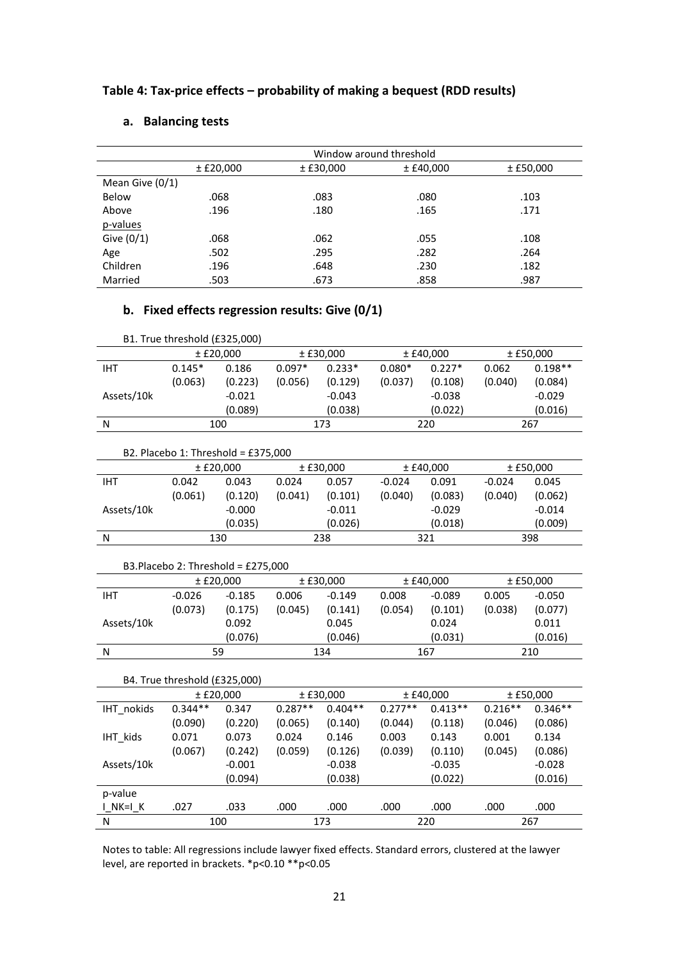|  | Table 4: Tax-price effects – probability of making a bequest (RDD results) |  |
|--|----------------------------------------------------------------------------|--|
|--|----------------------------------------------------------------------------|--|

| а. | <b>Balancing tests</b> |  |
|----|------------------------|--|
|----|------------------------|--|

|                   | Window around threshold |             |             |             |  |  |  |
|-------------------|-------------------------|-------------|-------------|-------------|--|--|--|
|                   | ± E20,000               | $±$ £30,000 | $±$ £40,000 | $±$ £50,000 |  |  |  |
| Mean Give $(0/1)$ |                         |             |             |             |  |  |  |
| Below             | .068                    | .083        | .080        | .103        |  |  |  |
| Above             | .196                    | .180        | .165        | .171        |  |  |  |
| p-values          |                         |             |             |             |  |  |  |
| Give $(0/1)$      | .068                    | .062        | .055        | .108        |  |  |  |
| Age               | .502                    | .295        | .282        | .264        |  |  |  |
| Children          | .196                    | .648        | .230        | .182        |  |  |  |
| Married           | .503                    | .673        | .858        | .987        |  |  |  |

# **b. Fixed effects regression results: Give (0/1)**

|            | B1. True threshold (£325,000) |         |          |          |             |          |             |           |             |  |
|------------|-------------------------------|---------|----------|----------|-------------|----------|-------------|-----------|-------------|--|
|            | ± E20,000                     |         |          |          | $±$ £30,000 |          | $±$ £40,000 |           | $±$ £50,000 |  |
| IHT        | $0.145*$                      | 0.186   | $0.097*$ | $0.233*$ | $0.080*$    | $0.227*$ | 0.062       | $0.198**$ |             |  |
|            | (0.063)                       | (0.223) | (0.056)  | (0.129)  | (0.037)     | (0.108)  | (0.040)     | (0.084)   |             |  |
| Assets/10k | $-0.021$                      |         |          | $-0.043$ |             | $-0.038$ |             | $-0.029$  |             |  |
|            |                               | (0.089) |          | (0.038)  |             | (0.022)  |             | (0.016)   |             |  |
| N          | 100                           |         | 173      |          | 220         |          |             | 267       |             |  |

| B2. Placebo 1: Threshold = £375,000 |  |  |
|-------------------------------------|--|--|
|-------------------------------------|--|--|

|            |         | ± E20,000 | $±$ £30,000 |          | $±$ £40,000 |          | $±$ £50,000 |          |
|------------|---------|-----------|-------------|----------|-------------|----------|-------------|----------|
| <b>IHT</b> | 0.042   | 0.043     | 0.024       | 0.057    | $-0.024$    | 0.091    | $-0.024$    | 0.045    |
|            | (0.061) | (0.120)   | (0.041)     | (0.101)  | (0.040)     | (0.083)  | (0.040)     | (0.062)  |
| Assets/10k |         | $-0.000$  |             | $-0.011$ |             | $-0.029$ |             | $-0.014$ |
|            |         | (0.035)   |             | (0.026)  |             | (0.018)  |             | (0.009)  |
| N          | 130     |           | 238         |          | 321         |          |             | 398      |

#### B3.Placebo 2: Threshold = £275,000

|            |          | ± E20,000 | $±$ £30,000 |          |         | $±$ £40.000 |         | $±$ £50,000 |
|------------|----------|-----------|-------------|----------|---------|-------------|---------|-------------|
| IHT        | $-0.026$ | $-0.185$  | 0.006       | $-0.149$ | 0.008   | $-0.089$    | 0.005   | $-0.050$    |
|            | (0.073)  | (0.175)   | (0.045)     | (0.141)  | (0.054) | (0.101)     | (0.038) | (0.077)     |
| Assets/10k |          | 0.092     |             | 0.045    |         | 0.024       |         | 0.011       |
|            |          | (0.076)   |             | (0.046)  |         | (0.031)     |         | (0.016)     |
| N          | 59       |           | 134         |          | 167     |             | 210     |             |

#### B4. True threshold (£325,000)

|            |           | ± E20,000 | ± E30,000 |           | $±$ £40,000 |           | $±$ £50,000 |           |
|------------|-----------|-----------|-----------|-----------|-------------|-----------|-------------|-----------|
| IHT nokids | $0.344**$ | 0.347     | $0.287**$ | $0.404**$ | $0.277**$   | $0.413**$ | $0.216**$   | $0.346**$ |
|            | (0.090)   | (0.220)   | (0.065)   | (0.140)   | (0.044)     | (0.118)   | (0.046)     | (0.086)   |
| IHT kids   | 0.071     | 0.073     | 0.024     | 0.146     | 0.003       | 0.143     | 0.001       | 0.134     |
|            | (0.067)   | (0.242)   | (0.059)   | (0.126)   | (0.039)     | (0.110)   | (0.045)     | (0.086)   |
| Assets/10k |           | $-0.001$  |           | $-0.038$  |             | $-0.035$  |             | $-0.028$  |
|            |           | (0.094)   |           | (0.038)   |             | (0.022)   |             | (0.016)   |
| p-value    |           |           |           |           |             |           |             |           |
| INK=IK     | .027      | .033      | .000      | .000      | .000        | .000      | .000        | .000      |
| N          |           | 100       |           | 173       | 220         |           | 267         |           |

Notes to table: All regressions include lawyer fixed effects. Standard errors, clustered at the lawyer level, are reported in brackets. \*p<0.10 \*\*p<0.05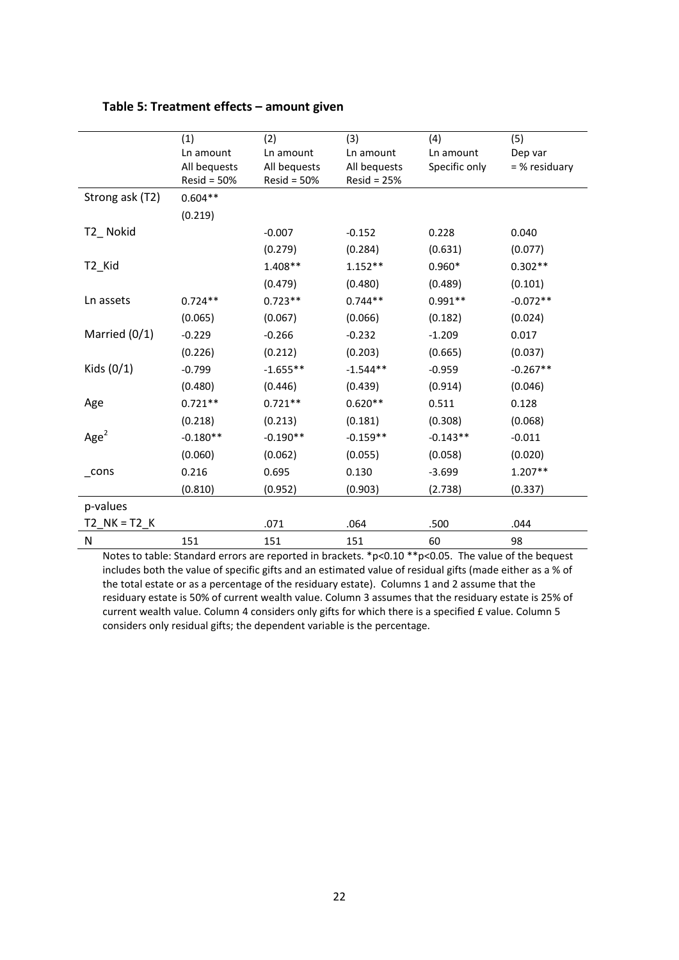|                  | (1)                           | (2)                           | (3)                           | (4)           | (5)           |
|------------------|-------------------------------|-------------------------------|-------------------------------|---------------|---------------|
|                  | Ln amount                     | Ln amount                     | Ln amount                     | Ln amount     | Dep var       |
|                  | All bequests<br>$Resid = 50%$ | All bequests<br>$Resid = 50%$ | All bequests<br>$Resid = 25%$ | Specific only | = % residuary |
| Strong ask (T2)  | $0.604**$                     |                               |                               |               |               |
|                  | (0.219)                       |                               |                               |               |               |
| T2_Nokid         |                               | $-0.007$                      | $-0.152$                      | 0.228         | 0.040         |
|                  |                               | (0.279)                       | (0.284)                       | (0.631)       | (0.077)       |
| T2_Kid           |                               | $1.408**$                     | $1.152**$                     | $0.960*$      | $0.302**$     |
|                  |                               | (0.479)                       | (0.480)                       | (0.489)       | (0.101)       |
| Ln assets        | $0.724**$                     | $0.723**$                     | $0.744**$                     | $0.991**$     | $-0.072**$    |
|                  | (0.065)                       | (0.067)                       | (0.066)                       | (0.182)       | (0.024)       |
| Married (0/1)    | $-0.229$                      | $-0.266$                      | $-0.232$                      | $-1.209$      | 0.017         |
|                  | (0.226)                       | (0.212)                       | (0.203)                       | (0.665)       | (0.037)       |
| Kids $(0/1)$     | $-0.799$                      | $-1.655**$                    | $-1.544**$                    | $-0.959$      | $-0.267**$    |
|                  | (0.480)                       | (0.446)                       | (0.439)                       | (0.914)       | (0.046)       |
| Age              | $0.721**$                     | $0.721**$                     | $0.620**$                     | 0.511         | 0.128         |
|                  | (0.218)                       | (0.213)                       | (0.181)                       | (0.308)       | (0.068)       |
| Age <sup>2</sup> | $-0.180**$                    | $-0.190**$                    | $-0.159**$                    | $-0.143**$    | $-0.011$      |
|                  | (0.060)                       | (0.062)                       | (0.055)                       | (0.058)       | (0.020)       |
| $\_cons$         | 0.216                         | 0.695                         | 0.130                         | $-3.699$      | $1.207**$     |
|                  | (0.810)                       | (0.952)                       | (0.903)                       | (2.738)       | (0.337)       |
| p-values         |                               |                               |                               |               |               |
| $T2$ NK = T2 K   |                               | .071                          | .064                          | .500          | .044          |
| N                | 151                           | 151                           | 151                           | 60            | 98            |

Notes to table: Standard errors are reported in brackets. \*p<0.10 \*\*p<0.05. The value of the bequest includes both the value of specific gifts and an estimated value of residual gifts (made either as a % of the total estate or as a percentage of the residuary estate). Columns 1 and 2 assume that the residuary estate is 50% of current wealth value. Column 3 assumes that the residuary estate is 25% of current wealth value. Column 4 considers only gifts for which there is a specified £ value. Column 5 considers only residual gifts; the dependent variable is the percentage.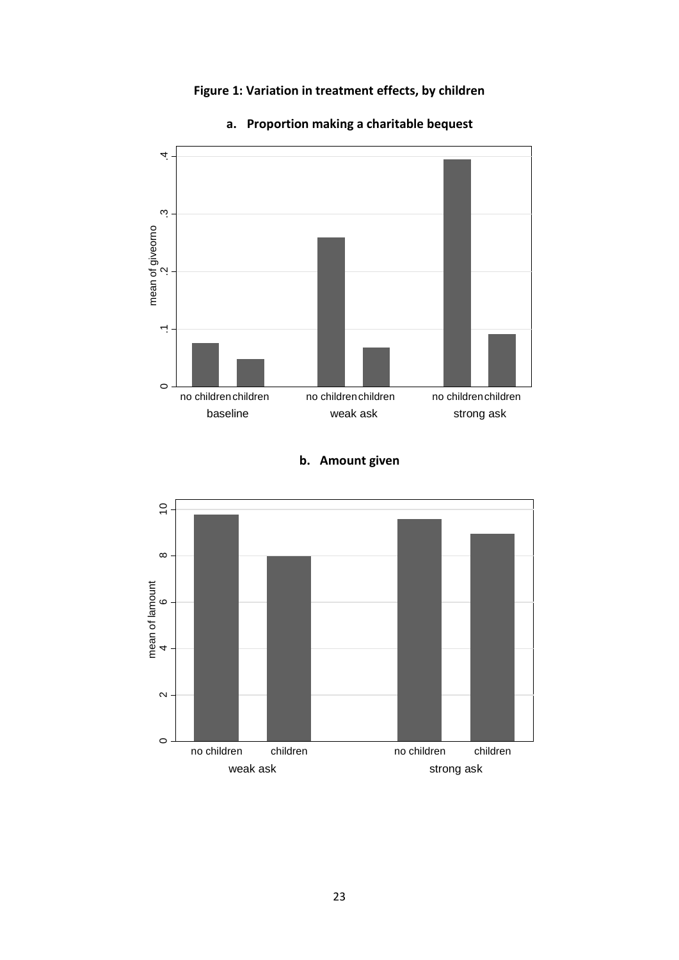# **Figure 1: Variation in treatment effects, by children**



# **a. Proportion making a charitable bequest**

# **b. Amount given**